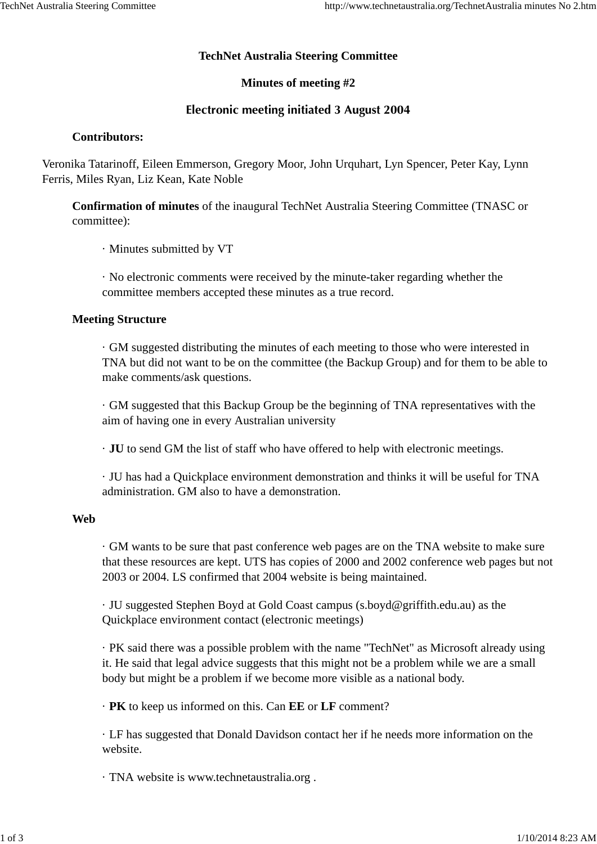# **TechNet Australia Steering Committee**

# **Minutes of meeting #2**

# **Electronic meeting initiated 3 August 2004**

# **Contributors:**

Veronika Tatarinoff, Eileen Emmerson, Gregory Moor, John Urquhart, Lyn Spencer, Peter Kay, Lynn Ferris, Miles Ryan, Liz Kean, Kate Noble

**Confirmation of minutes** of the inaugural TechNet Australia Steering Committee (TNASC or committee):

· Minutes submitted by VT

· No electronic comments were received by the minute-taker regarding whether the committee members accepted these minutes as a true record.

# **Meeting Structure**

· GM suggested distributing the minutes of each meeting to those who were interested in TNA but did not want to be on the committee (the Backup Group) and for them to be able to make comments/ask questions.

· GM suggested that this Backup Group be the beginning of TNA representatives with the aim of having one in every Australian university

· **JU** to send GM the list of staff who have offered to help with electronic meetings.

· JU has had a Quickplace environment demonstration and thinks it will be useful for TNA administration. GM also to have a demonstration.

## **Web**

· GM wants to be sure that past conference web pages are on the TNA website to make sure that these resources are kept. UTS has copies of 2000 and 2002 conference web pages but not 2003 or 2004. LS confirmed that 2004 website is being maintained.

· JU suggested Stephen Boyd at Gold Coast campus (s.boyd@griffith.edu.au) as the Quickplace environment contact (electronic meetings)

· PK said there was a possible problem with the name "TechNet" as Microsoft already using it. He said that legal advice suggests that this might not be a problem while we are a small body but might be a problem if we become more visible as a national body.

· **PK** to keep us informed on this. Can **EE** or **LF** comment?

· LF has suggested that Donald Davidson contact her if he needs more information on the website.

· TNA website is www.technetaustralia.org .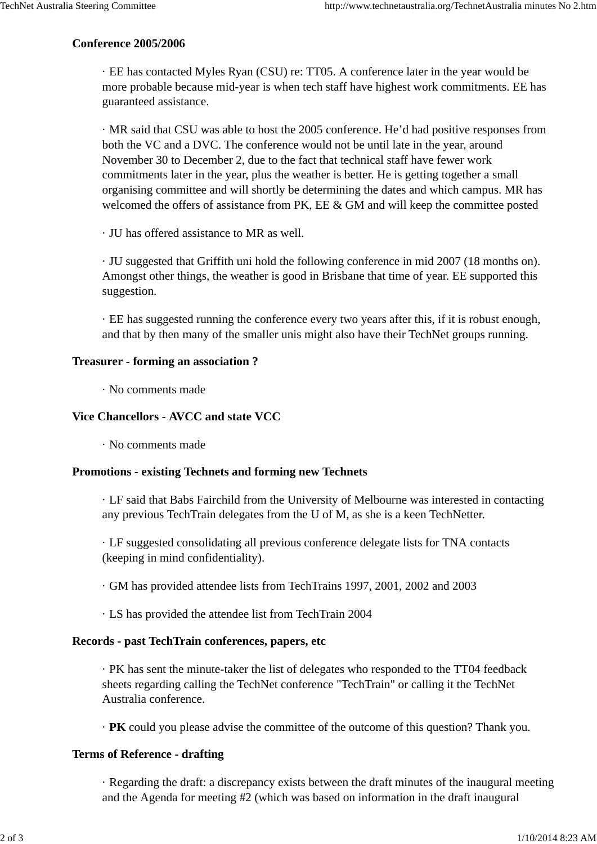### **Conference 2005/2006**

· EE has contacted Myles Ryan (CSU) re: TT05. A conference later in the year would be more probable because mid-year is when tech staff have highest work commitments. EE has guaranteed assistance.

· MR said that CSU was able to host the 2005 conference. He'd had positive responses from both the VC and a DVC. The conference would not be until late in the year, around November 30 to December 2, due to the fact that technical staff have fewer work commitments later in the year, plus the weather is better. He is getting together a small organising committee and will shortly be determining the dates and which campus. MR has welcomed the offers of assistance from PK, EE & GM and will keep the committee posted

· JU has offered assistance to MR as well.

· JU suggested that Griffith uni hold the following conference in mid 2007 (18 months on). Amongst other things, the weather is good in Brisbane that time of year. EE supported this suggestion.

· EE has suggested running the conference every two years after this, if it is robust enough, and that by then many of the smaller unis might also have their TechNet groups running.

#### **Treasurer - forming an association ?**

· No comments made

# **Vice Chancellors - AVCC and state VCC**

· No comments made

## **Promotions - existing Technets and forming new Technets**

· LF said that Babs Fairchild from the University of Melbourne was interested in contacting any previous TechTrain delegates from the U of M, as she is a keen TechNetter.

· LF suggested consolidating all previous conference delegate lists for TNA contacts (keeping in mind confidentiality).

· GM has provided attendee lists from TechTrains 1997, 2001, 2002 and 2003

· LS has provided the attendee list from TechTrain 2004

## **Records - past TechTrain conferences, papers, etc**

· PK has sent the minute-taker the list of delegates who responded to the TT04 feedback sheets regarding calling the TechNet conference "TechTrain" or calling it the TechNet Australia conference.

· **PK** could you please advise the committee of the outcome of this question? Thank you.

## **Terms of Reference - drafting**

· Regarding the draft: a discrepancy exists between the draft minutes of the inaugural meeting and the Agenda for meeting #2 (which was based on information in the draft inaugural